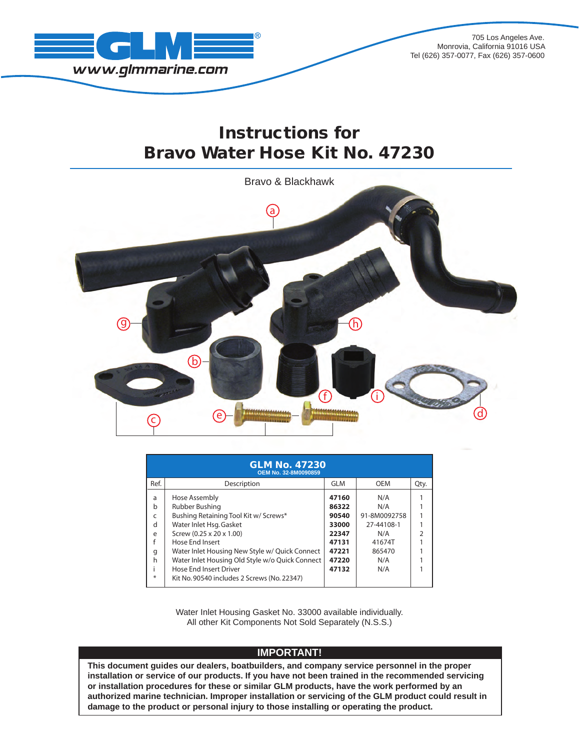

705 Los Angeles Ave. Monrovia, California 91016 USA Tel (626) 357-0077, Fax (626) 357-0600

## Instructions for Bravo Water Hose Kit No. 47230



| <b>GLM No. 47230</b><br><b>OEM No. 32-8M0090859</b> |                                                                                                                                                                                                                                                                                                                                  |                                                                               |                                                                                   |      |  |  |  |  |
|-----------------------------------------------------|----------------------------------------------------------------------------------------------------------------------------------------------------------------------------------------------------------------------------------------------------------------------------------------------------------------------------------|-------------------------------------------------------------------------------|-----------------------------------------------------------------------------------|------|--|--|--|--|
| Ref.                                                | Description                                                                                                                                                                                                                                                                                                                      | <b>GLM</b>                                                                    | <b>OEM</b>                                                                        | Qty. |  |  |  |  |
| a<br>b<br>C<br>d<br>e<br>f<br>g<br>h<br>⋇           | Hose Assembly<br>Rubber Bushing<br>Bushing Retaining Tool Kit w/ Screws*<br>Water Inlet Hsg. Gasket<br>Screw (0.25 x 20 x 1.00)<br>Hose End Insert<br>Water Inlet Housing New Style w/ Quick Connect<br>Water Inlet Housing Old Style w/o Quick Connect<br>Hose End Insert Driver<br>Kit No. 90540 includes 2 Screws (No. 22347) | 47160<br>86322<br>90540<br>33000<br>22347<br>47131<br>47221<br>47220<br>47132 | N/A<br>N/A<br>91-8M0092758<br>27-44108-1<br>N/A<br>41674T<br>865470<br>N/A<br>N/A |      |  |  |  |  |

Water Inlet Housing Gasket No. 33000 available individually. All other Kit Components Not Sold Separately (N.S.S.)

## **IMPORTANT!**

**This document guides our dealers, boatbuilders, and company service personnel in the proper installation or service of our products. If you have not been trained in the recommended servicing or installation procedures for these or similar GLM products, have the work performed by an authorized marine technician. Improper installation or servicing of the GLM product could result in damage to the product or personal injury to those installing or operating the product.**